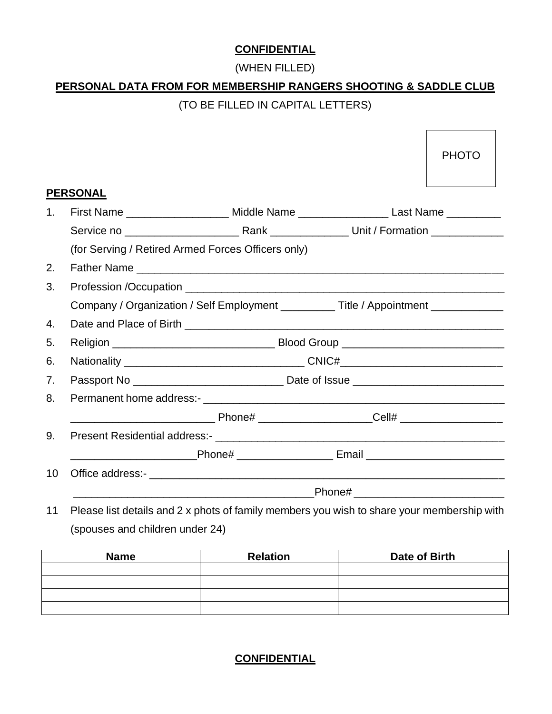#### **CONFIDENTIAL**

#### (WHEN FILLED)

# **PERSONAL DATA FROM FOR MEMBERSHIP RANGERS SHOOTING & SADDLE CLUB**

## (TO BE FILLED IN CAPITAL LETTERS)

H

|             |                                                                                            |  |                                          | <b>PHOTO</b> |  |  |
|-------------|--------------------------------------------------------------------------------------------|--|------------------------------------------|--------------|--|--|
|             |                                                                                            |  |                                          |              |  |  |
|             | <b>PERSONAL</b>                                                                            |  |                                          |              |  |  |
| $1_{\cdot}$ | First Name _____________________ Middle Name ______________________Last Name __________    |  |                                          |              |  |  |
|             |                                                                                            |  |                                          |              |  |  |
|             | (for Serving / Retired Armed Forces Officers only)                                         |  |                                          |              |  |  |
| 2.          |                                                                                            |  |                                          |              |  |  |
| 3.          |                                                                                            |  |                                          |              |  |  |
|             | Company / Organization / Self Employment ___________Title / Appointment _________          |  |                                          |              |  |  |
| 4.          |                                                                                            |  |                                          |              |  |  |
| 5.          |                                                                                            |  |                                          |              |  |  |
| 6.          |                                                                                            |  |                                          |              |  |  |
| 7.          |                                                                                            |  |                                          |              |  |  |
| 8.          |                                                                                            |  |                                          |              |  |  |
|             |                                                                                            |  |                                          |              |  |  |
| 9.          |                                                                                            |  |                                          |              |  |  |
|             | _________________________Phone# ________________________Email ___________________          |  |                                          |              |  |  |
| 10          |                                                                                            |  |                                          |              |  |  |
|             |                                                                                            |  | _Phone# ________________________________ |              |  |  |
| 11          | Please list details and 2 x phots of family members you wish to share your membership with |  |                                          |              |  |  |

(spouses and children under 24)

| <b>Name</b> | <b>Relation</b> | Date of Birth |
|-------------|-----------------|---------------|
|             |                 |               |
|             |                 |               |
|             |                 |               |
|             |                 |               |

### **CONFIDENTIAL**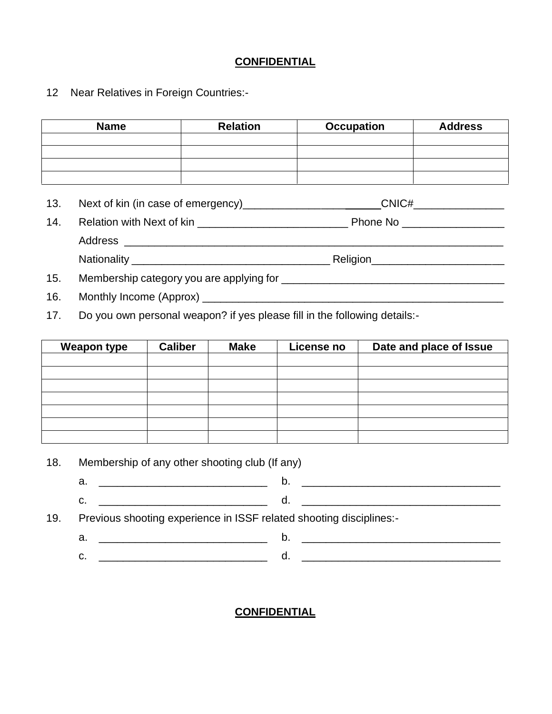#### **CONFIDENTIAL**

12 Near Relatives in Foreign Countries:-

| <b>Name</b> |                                | <b>Relation</b> | <b>Occupation</b>                   | <b>Address</b> |
|-------------|--------------------------------|-----------------|-------------------------------------|----------------|
|             |                                |                 |                                     |                |
|             |                                |                 |                                     |                |
| 13.         |                                |                 |                                     |                |
| 14.         | Relation with Next of kin      |                 |                                     |                |
|             |                                |                 |                                     |                |
|             | Nationality National Community |                 | Religion___________________________ |                |

- 15. Membership category you are applying for \_\_\_\_\_\_\_\_\_\_\_\_\_\_\_\_\_\_\_\_\_\_\_\_\_\_\_\_\_\_\_\_\_\_\_\_\_
- 16. Monthly Income (Approx) \_\_\_\_\_\_\_\_\_\_\_\_\_\_\_\_\_\_\_\_\_\_\_\_\_\_\_\_\_\_\_\_\_\_\_\_\_\_\_\_\_\_\_\_\_\_\_\_\_\_
- 17. Do you own personal weapon? if yes please fill in the following details:-

| <b>Weapon type</b> | <b>Caliber</b> | <b>Make</b> | License no | Date and place of Issue |
|--------------------|----------------|-------------|------------|-------------------------|
|                    |                |             |            |                         |
|                    |                |             |            |                         |
|                    |                |             |            |                         |
|                    |                |             |            |                         |
|                    |                |             |            |                         |
|                    |                |             |            |                         |
|                    |                |             |            |                         |

18. Membership of any other shooting club (If any)

- a. \_\_\_\_\_\_\_\_\_\_\_\_\_\_\_\_\_\_\_\_\_\_\_\_\_\_\_\_ b. \_\_\_\_\_\_\_\_\_\_\_\_\_\_\_\_\_\_\_\_\_\_\_\_\_\_\_\_\_\_\_\_\_
- c. \_\_\_\_\_\_\_\_\_\_\_\_\_\_\_\_\_\_\_\_\_\_\_\_\_\_\_\_ d. \_\_\_\_\_\_\_\_\_\_\_\_\_\_\_\_\_\_\_\_\_\_\_\_\_\_\_\_\_\_\_\_\_

19. Previous shooting experience in ISSF related shooting disciplines:-

a. \_\_\_\_\_\_\_\_\_\_\_\_\_\_\_\_\_\_\_\_\_\_\_\_\_\_\_\_ b. \_\_\_\_\_\_\_\_\_\_\_\_\_\_\_\_\_\_\_\_\_\_\_\_\_\_\_\_\_\_\_\_\_ c. \_\_\_\_\_\_\_\_\_\_\_\_\_\_\_\_\_\_\_\_\_\_\_\_\_\_\_\_ d. \_\_\_\_\_\_\_\_\_\_\_\_\_\_\_\_\_\_\_\_\_\_\_\_\_\_\_\_\_\_\_\_\_

**CONFIDENTIAL**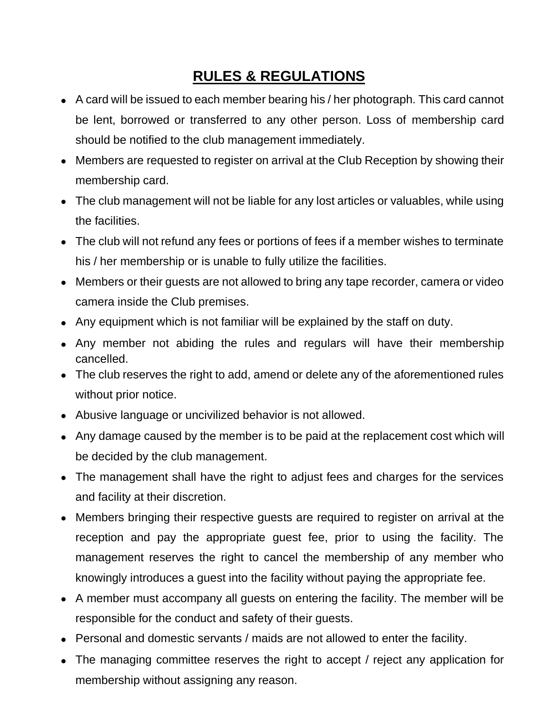## **RULES & REGULATIONS**

- A card will be issued to each member bearing his / her photograph. This card cannot be lent, borrowed or transferred to any other person. Loss of membership card should be notified to the club management immediately.
- Members are requested to register on arrival at the Club Reception by showing their membership card.
- The club management will not be liable for any lost articles or valuables, while using the facilities.
- The club will not refund any fees or portions of fees if a member wishes to terminate his / her membership or is unable to fully utilize the facilities.
- Members or their guests are not allowed to bring any tape recorder, camera or video camera inside the Club premises.
- Any equipment which is not familiar will be explained by the staff on duty.
- Any member not abiding the rules and regulars will have their membership cancelled.
- The club reserves the right to add, amend or delete any of the aforementioned rules without prior notice.
- Abusive language or uncivilized behavior is not allowed.
- Any damage caused by the member is to be paid at the replacement cost which will be decided by the club management.
- The management shall have the right to adjust fees and charges for the services and facility at their discretion.
- Members bringing their respective guests are required to register on arrival at the reception and pay the appropriate guest fee, prior to using the facility. The management reserves the right to cancel the membership of any member who knowingly introduces a guest into the facility without paying the appropriate fee.
- A member must accompany all guests on entering the facility. The member will be responsible for the conduct and safety of their guests.
- Personal and domestic servants / maids are not allowed to enter the facility.
- The managing committee reserves the right to accept / reject any application for membership without assigning any reason.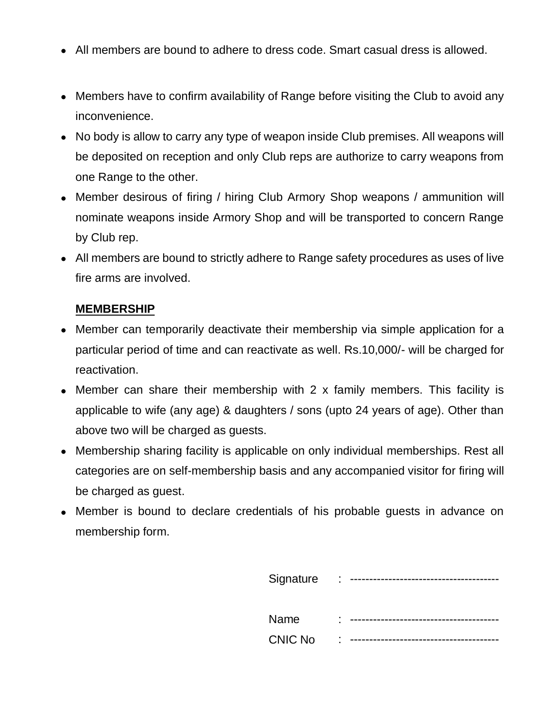- All members are bound to adhere to dress code. Smart casual dress is allowed.
- Members have to confirm availability of Range before visiting the Club to avoid any inconvenience.
- No body is allow to carry any type of weapon inside Club premises. All weapons will be deposited on reception and only Club reps are authorize to carry weapons from one Range to the other.
- Member desirous of firing / hiring Club Armory Shop weapons / ammunition will nominate weapons inside Armory Shop and will be transported to concern Range by Club rep.
- All members are bound to strictly adhere to Range safety procedures as uses of live fire arms are involved.

#### **MEMBERSHIP**

- Member can temporarily deactivate their membership via simple application for a particular period of time and can reactivate as well. Rs.10,000/- will be charged for reactivation.
- Member can share their membership with 2 x family members. This facility is applicable to wife (any age) & daughters / sons (upto 24 years of age). Other than above two will be charged as guests.
- Membership sharing facility is applicable on only individual memberships. Rest all categories are on self-membership basis and any accompanied visitor for firing will be charged as guest.
- Member is bound to declare credentials of his probable guests in advance on membership form.

| Signature      | ٠<br>٠ |  |
|----------------|--------|--|
| Name           | ۰<br>٠ |  |
| <b>CNIC No</b> | ٠<br>٠ |  |